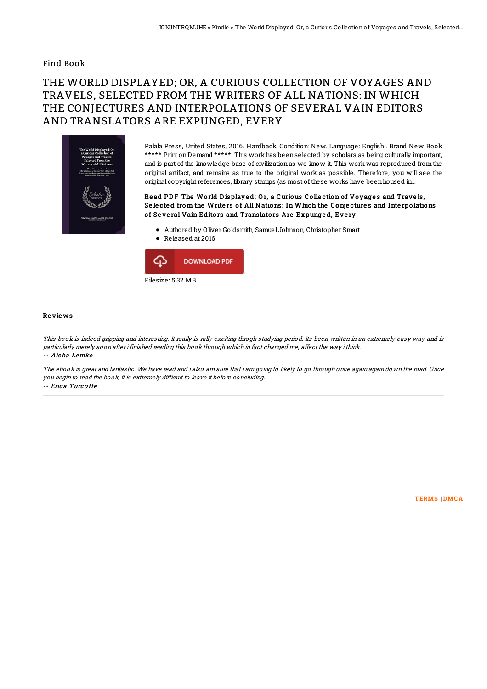## Find Book

# THE WORLD DISPLAYED; OR, A CURIOUS COLLECTION OF VOYAGES AND TRAVELS, SELECTED FROM THE WRITERS OF ALL NATIONS: IN WHICH THE CONJECTURES AND INTERPOLATIONS OF SEVERAL VAIN EDITORS AND TRANSLATORS ARE EXPUNGED, EVERY



Palala Press, United States, 2016. Hardback. Condition: New. Language: English . Brand New Book \*\*\*\*\* Print onDemand \*\*\*\*\*. This workhas beenselected by scholars as being culturally important, and is part of the knowledge base of civilizationas we know it. This work was reproduced fromthe original artifact, and remains as true to the original work as possible. Therefore, you will see the original copyright references, library stamps (as most of these works have beenhoused in...

### Read PDF The World Displayed; Or, a Curious Collection of Voyages and Travels, Selected from the Writers of All Nations: In Which the Conjectures and Interpolations of Several Vain Editors and Translators Are Expunged, Every

- Authored by Oliver Goldsmith, Samuel Johnson, Christopher Smart
- Released at 2016  $\bullet$



#### Re vie ws

This book is indeed gripping and interesting. It really is rally exciting throgh studying period. Its been written in an extremely easy way and is particularly merely soon after i finished reading this book through which in fact changed me, affect the way ithink. -- Ais ha Lemke

The ebook is great and fantastic. We have read and i also am sure that i am going to likely to go through once again again down the road. Once you begin to read the book, it is extremely difficult to leave it before concluding. -- Erica Turcotte